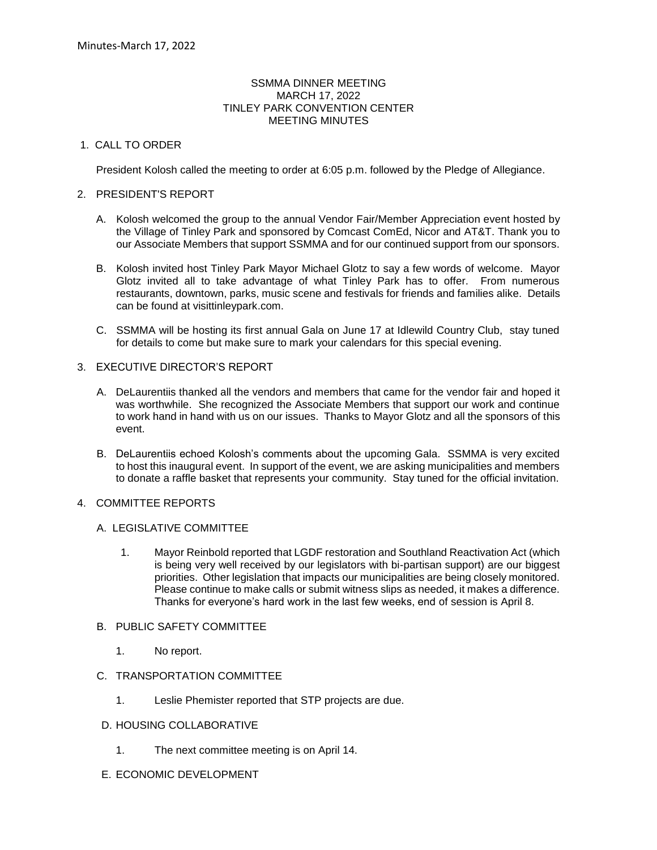#### SSMMA DINNER MEETING MARCH 17, 2022 TINLEY PARK CONVENTION CENTER MEETING MINUTES

# 1. CALL TO ORDER

President Kolosh called the meeting to order at 6:05 p.m. followed by the Pledge of Allegiance.

## 2. PRESIDENT'S REPORT

- A. Kolosh welcomed the group to the annual Vendor Fair/Member Appreciation event hosted by the Village of Tinley Park and sponsored by Comcast ComEd, Nicor and AT&T. Thank you to our Associate Members that support SSMMA and for our continued support from our sponsors.
- B. Kolosh invited host Tinley Park Mayor Michael Glotz to say a few words of welcome. Mayor Glotz invited all to take advantage of what Tinley Park has to offer. From numerous restaurants, downtown, parks, music scene and festivals for friends and families alike. Details can be found at visittinleypark.com.
- C. SSMMA will be hosting its first annual Gala on June 17 at Idlewild Country Club, stay tuned for details to come but make sure to mark your calendars for this special evening.

## 3. EXECUTIVE DIRECTOR'S REPORT

- A. DeLaurentiis thanked all the vendors and members that came for the vendor fair and hoped it was worthwhile. She recognized the Associate Members that support our work and continue to work hand in hand with us on our issues. Thanks to Mayor Glotz and all the sponsors of this event.
- B. DeLaurentiis echoed Kolosh's comments about the upcoming Gala. SSMMA is very excited to host this inaugural event. In support of the event, we are asking municipalities and members to donate a raffle basket that represents your community. Stay tuned for the official invitation.

# 4. COMMITTEE REPORTS

### A. LEGISLATIVE COMMITTEE

- 1. Mayor Reinbold reported that LGDF restoration and Southland Reactivation Act (which is being very well received by our legislators with bi-partisan support) are our biggest priorities. Other legislation that impacts our municipalities are being closely monitored. Please continue to make calls or submit witness slips as needed, it makes a difference. Thanks for everyone's hard work in the last few weeks, end of session is April 8.
- B. PUBLIC SAFETY COMMITTEE
	- 1. No report.
- C. TRANSPORTATION COMMITTEE
	- 1. Leslie Phemister reported that STP projects are due.
- D. HOUSING COLLABORATIVE
	- 1. The next committee meeting is on April 14.
- E. ECONOMIC DEVELOPMENT